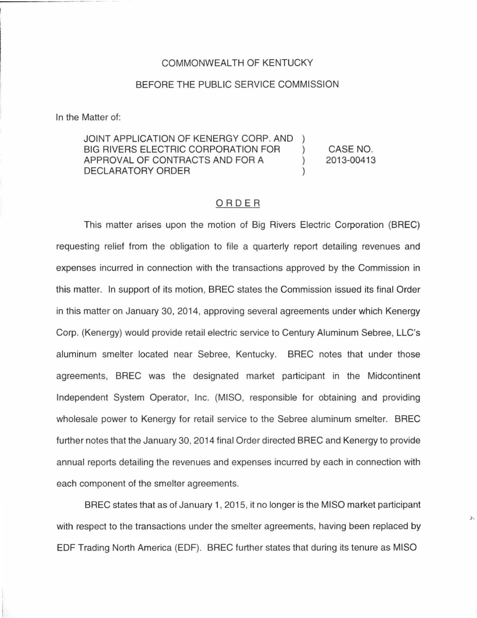## COMMONWEALTH OF KENTUCKY

## BEFORE THE PUBLIC SERVICE COMMISSION

In the Matter of:

JOINT APPLICATION OF KENERGY CORP. AND BIG RIVERS ELECTRIC CORPORATION FOR APPROVAL OF CONTRACTS AND FOR A DECLARATORY ORDER CASE NO. 2013-00413

## ORDER

This matter arises upon the motion of Big Rivers Electric Corporation (BREC) requesting relief from the obligation to file a quarterly report detailing revenues and expenses incurred in connection with the transactions approved by the Commission in this matter. In support of its motion, BREC states the Commission issued its final Order in this matter on January 30, 2014, approving several agreements under which Kenergy Corp. (Kenergy) would provide retail electric service to Century Aluminum Sebree, LLC's aluminum smelter located near Sebree, Kentucky. BREC notes that under those agreements, BREC was the designated market participant in the Midcontinent Independent System Operator, Inc. (MISO, responsible for obtaining and providing wholesale power to Kenergy for retail service to the Sebree aluminum smelter. BREC further notes that the January 30, 2014 final Order directed BREC and Kenergy to provide annual reports detailing the revenues and expenses incurred by each in connection with each component of the smelter agreements.

BREC states that as of January 1, 2015, it no longer is the MISO market participant with respect to the transactions under the smelter agreements, having been replaced by EDF Trading North America (EDF). BREC further states that during its tenure as MISO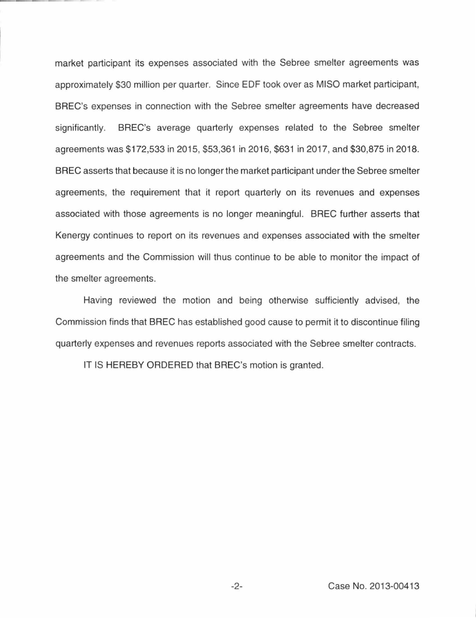market participant its expenses associated with the Sebree smelter agreements was approximately \$30 million per quarter. Since EDF took over as MISO market participant, BREC's expenses in connection with the Sebree smelter agreements have decreased significantly. BREC's average quarterly expenses related to the Sebree smelter agreements was \$172,533 in 2015, \$53,361 in 2016, \$631 in 2017, and \$30,875 in 2018. BREC asserts that because it is no longer the market participant under the Sebree smelter agreements, the requirement that it report quarterly on its revenues and expenses associated with those agreements is no longer meaningful. BREC further asserts that Kenergy continues to report on its revenues and expenses associated with the smelter agreements and the Commission will thus continue to be able to monitor the impact of the smelter agreements.

Having reviewed the motion and being otherwise sufficiently advised, the Commission finds that BREC has established good cause to permit it to discontinue filing quarterly expenses and revenues reports associated with the Sebree smelter contracts.

IT IS HEREBY ORDERED that BREC's motion is granted.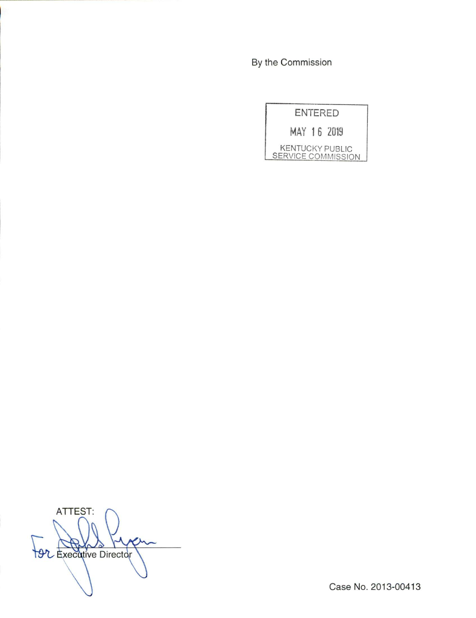By the Commission

| <b>ENTERED</b>                               |
|----------------------------------------------|
| MAY 16 2019                                  |
| <b>KENTUCKY PUBLIC</b><br>SERVICE COMMISSION |

ATTEST: **Director** Productive Director

Case No. 2013-00413